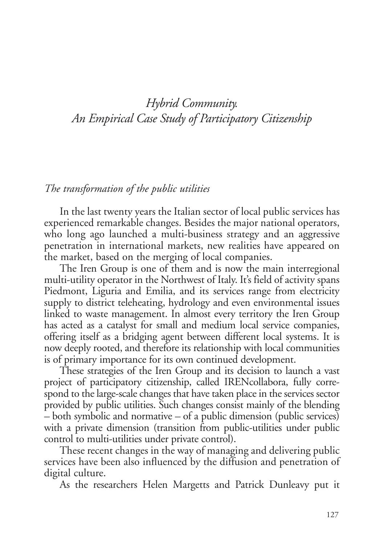## *Hybrid Community. An Empirical Case Study of Participatory Citizenship*

## *The transformation of the public utilities*

In the last twenty years the Italian sector of local public services has experienced remarkable changes. Besides the major national operators, who long ago launched a multi-business strategy and an aggressive penetration in international markets, new realities have appeared on the market, based on the merging of local companies.

The Iren Group is one of them and is now the main interregional multi-utility operator in the Northwest of Italy. It's field of activity spans Piedmont, Liguria and Emilia, and its services range from electricity supply to district teleheating, hydrology and even environmental issues linked to waste management. In almost every territory the Iren Group has acted as a catalyst for small and medium local service companies, offering itself as a bridging agent between different local systems. It is now deeply rooted, and therefore its relationship with local communities is of primary importance for its own continued development.

These strategies of the Iren Group and its decision to launch a vast project of participatory citizenship, called IRENcollabora, fully correspond to the large-scale changes that have taken place in the services sector provided by public utilities. Such changes consist mainly of the blending *–* both symbolic and normative *–* of a public dimension (public services) with a private dimension (transition from public-utilities under public control to multi-utilities under private control).

These recent changes in the way of managing and delivering public services have been also influenced by the diffusion and penetration of digital culture.

As the researchers Helen Margetts and Patrick Dunleavy put it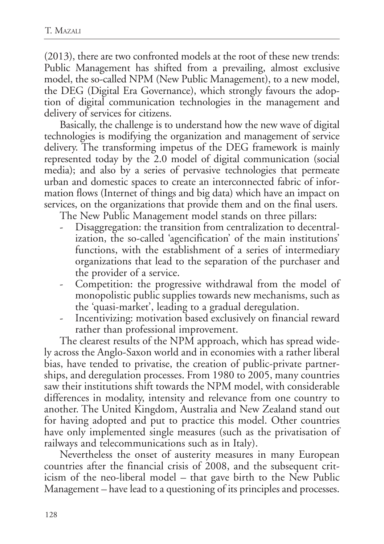(2013), there are two confronted models at the root of these new trends: Public Management has shifted from a prevailing, almost exclusive model, the so-called NPM (New Public Management), to a new model, the DEG (Digital Era Governance), which strongly favours the adoption of digital communication technologies in the management and delivery of services for citizens.

Basically, the challenge is to understand how the new wave of digital technologies is modifying the organization and management of service delivery. The transforming impetus of the DEG framework is mainly represented today by the 2.0 model of digital communication (social media); and also by a series of pervasive technologies that permeate urban and domestic spaces to create an interconnected fabric of information flows (Internet of things and big data) which have an impact on services, on the organizations that provide them and on the final users.

The New Public Management model stands on three pillars:

- Disaggregation: the transition from centralization to decentralization, the so-called 'agencification' of the main institutions' functions, with the establishment of a series of intermediary organizations that lead to the separation of the purchaser and the provider of a service.
- Competition: the progressive withdrawal from the model of monopolistic public supplies towards new mechanisms, such as the 'quasi-market', leading to a gradual deregulation.
- Incentivizing: motivation based exclusively on financial reward rather than professional improvement.

The clearest results of the NPM approach, which has spread widely across the Anglo-Saxon world and in economies with a rather liberal bias, have tended to privatise, the creation of public-private partnerships, and deregulation processes. From 1980 to 2005, many countries saw their institutions shift towards the NPM model, with considerable differences in modality, intensity and relevance from one country to another. The United Kingdom, Australia and New Zealand stand out for having adopted and put to practice this model. Other countries have only implemented single measures (such as the privatisation of railways and telecommunications such as in Italy).

Nevertheless the onset of austerity measures in many European countries after the financial crisis of 2008, and the subsequent criticism of the neo-liberal model *–* that gave birth to the New Public Management *–* have lead to a questioning of its principles and processes.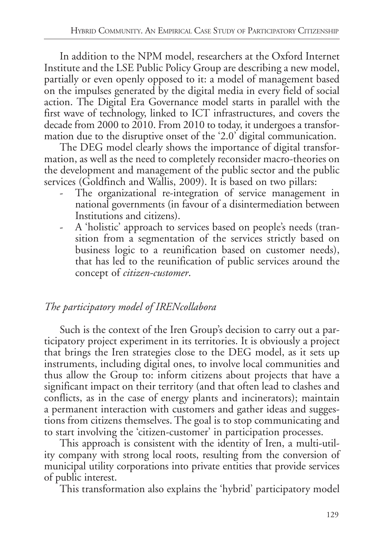In addition to the NPM model, researchers at the Oxford Internet Institute and the LSE Public Policy Group are describing a new model, partially or even openly opposed to it: a model of management based on the impulses generated by the digital media in every field of social action. The Digital Era Governance model starts in parallel with the first wave of technology, linked to ICT infrastructures, and covers the decade from 2000 to 2010. From 2010 to today, it undergoes a transformation due to the disruptive onset of the '2.0' digital communication.

The DEG model clearly shows the importance of digital transformation, as well as the need to completely reconsider macro-theories on the development and management of the public sector and the public services (Goldfinch and Wallis, 2009). It is based on two pillars:

- The organizational re-integration of service management in national governments (in favour of a disintermediation between Institutions and citizens).
- A 'holistic' approach to services based on people's needs (transition from a segmentation of the services strictly based on business logic to a reunification based on customer needs), that has led to the reunification of public services around the concept of *citizen-customer*.

## *The participatory model of IRENcollabora*

Such is the context of the Iren Group's decision to carry out a participatory project experiment in its territories. It is obviously a project that brings the Iren strategies close to the DEG model, as it sets up instruments, including digital ones, to involve local communities and thus allow the Group to: inform citizens about projects that have a significant impact on their territory (and that often lead to clashes and conflicts, as in the case of energy plants and incinerators); maintain a permanent interaction with customers and gather ideas and suggestions from citizens themselves. The goal is to stop communicating and to start involving the 'citizen-customer' in participation processes.

This approach is consistent with the identity of Iren, a multi-utility company with strong local roots, resulting from the conversion of municipal utility corporations into private entities that provide services of public interest.

This transformation also explains the 'hybrid' participatory model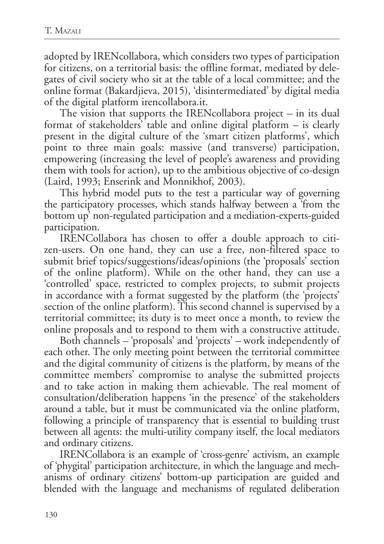adopted by IRENcollabora, which considers two types of participation for citizens, on a territorial basis: the offline format, mediated by delegates of civil society who sit at the table of a local committee; and the online format (Bakardjieva, 2015), 'disintermediated' by digital media of the digital platform irencollabora.it.

The vision that supports the IRENcollabora project *–* in its dual format of stakeholders' table and online digital platform *–* is clearly present in the digital culture of the 'smart citizen platforms', which point to three main goals: massive (and transverse) participation, empowering (increasing the level of people's awareness and providing them with tools for action), up to the ambitious objective of co-design (Laird, 1993; Enserink and Monnikhof, 2003).

This hybrid model puts to the test a particular way of governing the participatory processes, which stands halfway between a 'from the bottom up' non-regulated participation and a mediation-experts-guided participation.

IRENCollabora has chosen to offer a double approach to citizen-users. On one hand, they can use a free, non-filtered space to submit brief topics/suggestions/ideas/opinions (the 'proposals' section of the online platform). While on the other hand, they can use a 'controlled' space, restricted to complex projects, to submit projects in accordance with a format suggested by the platform (the 'projects' section of the online platform). This second channel is supervised by a territorial committee; its duty is to meet once a month, to review the online proposals and to respond to them with a constructive attitude.

Both channels *–* 'proposals' and 'projects' *–* work independently of each other. The only meeting point between the territorial committee and the digital community of citizens is the platform, by means of the committee members' compromise to analyse the submitted projects and to take action in making them achievable. The real moment of consultation/deliberation happens 'in the presence' of the stakeholders around a table, but it must be communicated via the online platform, following a principle of transparency that is essential to building trust between all agents: the multi-utility company itself, the local mediators and ordinary citizens.

IRENCollabora is an example of 'cross-genre' activism, an example of 'phygital' participation architecture, in which the language and mechanisms of ordinary citizens' bottom-up participation are guided and blended with the language and mechanisms of regulated deliberation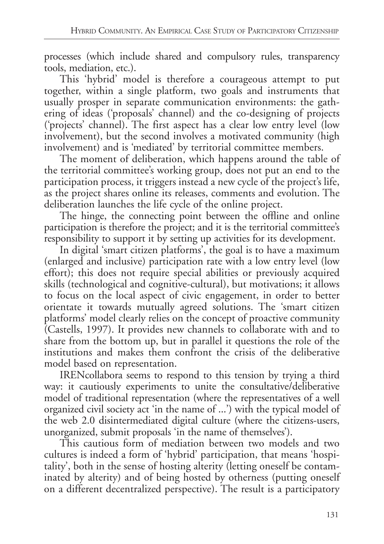processes (which include shared and compulsory rules, transparency tools, mediation, etc.).

This 'hybrid' model is therefore a courageous attempt to put together, within a single platform, two goals and instruments that usually prosper in separate communication environments: the gathering of ideas ('proposals' channel) and the co-designing of projects ('projects' channel). The first aspect has a clear low entry level (low involvement), but the second involves a motivated community (high involvement) and is 'mediated' by territorial committee members.

The moment of deliberation, which happens around the table of the territorial committee's working group, does not put an end to the participation process, it triggers instead a new cycle of the project's life, as the project shares online its releases, comments and evolution. The deliberation launches the life cycle of the online project.

The hinge, the connecting point between the offline and online participation is therefore the project; and it is the territorial committee's responsibility to support it by setting up activities for its development.

In digital 'smart citizen platforms', the goal is to have a maximum (enlarged and inclusive) participation rate with a low entry level (low effort); this does not require special abilities or previously acquired skills (technological and cognitive-cultural), but motivations; it allows to focus on the local aspect of civic engagement, in order to better orientate it towards mutually agreed solutions. The 'smart citizen platforms' model clearly relies on the concept of proactive community (Castells, 1997). It provides new channels to collaborate with and to share from the bottom up, but in parallel it questions the role of the institutions and makes them confront the crisis of the deliberative model based on representation.

IRENcollabora seems to respond to this tension by trying a third way: it cautiously experiments to unite the consultative/deliberative model of traditional representation (where the representatives of a well organized civil society act 'in the name of ...') with the typical model of the web 2.0 disintermediated digital culture (where the citizens-users, unorganized, submit proposals 'in the name of themselves').

This cautious form of mediation between two models and two cultures is indeed a form of 'hybrid' participation, that means 'hospitality', both in the sense of hosting alterity (letting oneself be contaminated by alterity) and of being hosted by otherness (putting oneself on a different decentralized perspective). The result is a participatory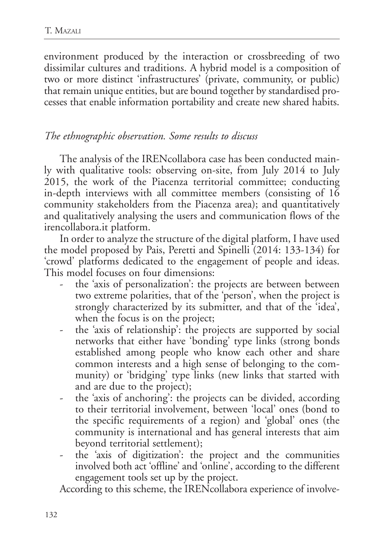environment produced by the interaction or crossbreeding of two dissimilar cultures and traditions. A hybrid model is a composition of two or more distinct 'infrastructures' (private, community, or public) that remain unique entities, but are bound together by standardised processes that enable information portability and create new shared habits.

## *The ethnographic observation. Some results to discuss*

The analysis of the IRENcollabora case has been conducted mainly with qualitative tools: observing on-site, from July 2014 to July 2015, the work of the Piacenza territorial committee; conducting in-depth interviews with all committee members (consisting of 16 community stakeholders from the Piacenza area); and quantitatively and qualitatively analysing the users and communication flows of the irencollabora.it platform.

In order to analyze the structure of the digital platform, I have used the model proposed by Pais, Peretti and Spinelli (2014: 133-134) for 'crowd' platforms dedicated to the engagement of people and ideas. This model focuses on four dimensions:

- the 'axis of personalization': the projects are between between two extreme polarities, that of the 'person', when the project is strongly characterized by its submitter, and that of the 'idea', when the focus is on the project;
- the 'axis of relationship': the projects are supported by social networks that either have 'bonding' type links (strong bonds established among people who know each other and share common interests and a high sense of belonging to the community) or 'bridging' type links (new links that started with and are due to the project);
- the 'axis of anchoring': the projects can be divided, according to their territorial involvement, between 'local' ones (bond to the specific requirements of a region) and 'global' ones (the community is international and has general interests that aim beyond territorial settlement);
- the 'axis of digitization': the project and the communities involved both act 'offline' and 'online', according to the different engagement tools set up by the project.

According to this scheme, the IRENcollabora experience of involve-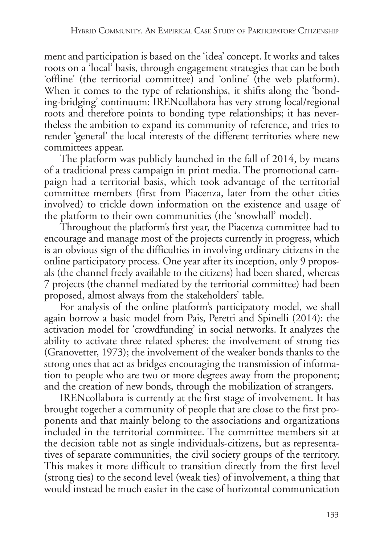ment and participation is based on the 'idea' concept. It works and takes roots on a 'local' basis, through engagement strategies that can be both 'offline' (the territorial committee) and 'online' (the web platform). When it comes to the type of relationships, it shifts along the 'bonding-bridging' continuum: IRENcollabora has very strong local/regional roots and therefore points to bonding type relationships; it has nevertheless the ambition to expand its community of reference, and tries to render 'general' the local interests of the different territories where new committees appear.

The platform was publicly launched in the fall of 2014, by means of a traditional press campaign in print media. The promotional campaign had a territorial basis, which took advantage of the territorial committee members (first from Piacenza, later from the other cities involved) to trickle down information on the existence and usage of the platform to their own communities (the 'snowball' model).

Throughout the platform's first year, the Piacenza committee had to encourage and manage most of the projects currently in progress, which is an obvious sign of the difficulties in involving ordinary citizens in the online participatory process. One year after its inception, only 9 proposals (the channel freely available to the citizens) had been shared, whereas 7 projects (the channel mediated by the territorial committee) had been proposed, almost always from the stakeholders' table.

For analysis of the online platform's participatory model, we shall again borrow a basic model from Pais, Peretti and Spinelli (2014): the activation model for 'crowdfunding' in social networks. It analyzes the ability to activate three related spheres: the involvement of strong ties (Granovetter, 1973); the involvement of the weaker bonds thanks to the strong ones that act as bridges encouraging the transmission of information to people who are two or more degrees away from the proponent; and the creation of new bonds, through the mobilization of strangers.

IRENcollabora is currently at the first stage of involvement. It has brought together a community of people that are close to the first proponents and that mainly belong to the associations and organizations included in the territorial committee. The committee members sit at the decision table not as single individuals-citizens, but as representatives of separate communities, the civil society groups of the territory. This makes it more difficult to transition directly from the first level (strong ties) to the second level (weak ties) of involvement, a thing that would instead be much easier in the case of horizontal communication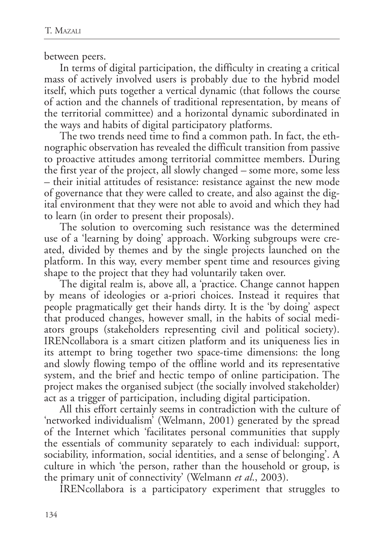between peers.

In terms of digital participation, the difficulty in creating a critical mass of actively involved users is probably due to the hybrid model itself, which puts together a vertical dynamic (that follows the course of action and the channels of traditional representation, by means of the territorial committee) and a horizontal dynamic subordinated in the ways and habits of digital participatory platforms.

The two trends need time to find a common path. In fact, the ethnographic observation has revealed the difficult transition from passive to proactive attitudes among territorial committee members. During the first year of the project, all slowly changed *–* some more, some less *–* their initial attitudes of resistance: resistance against the new mode of governance that they were called to create, and also against the digital environment that they were not able to avoid and which they had to learn (in order to present their proposals).

The solution to overcoming such resistance was the determined use of a 'learning by doing' approach. Working subgroups were created, divided by themes and by the single projects launched on the platform. In this way, every member spent time and resources giving shape to the project that they had voluntarily taken over.

The digital realm is, above all, a 'practice. Change cannot happen by means of ideologies or a-priori choices. Instead it requires that people pragmatically get their hands dirty. It is the 'by doing' aspect that produced changes, however small, in the habits of social mediators groups (stakeholders representing civil and political society). IRENcollabora is a smart citizen platform and its uniqueness lies in its attempt to bring together two space-time dimensions: the long and slowly flowing tempo of the offline world and its representative system, and the brief and hectic tempo of online participation. The project makes the organised subject (the socially involved stakeholder) act as a trigger of participation, including digital participation.

All this effort certainly seems in contradiction with the culture of 'networked individualism' (Welmann, 2001) generated by the spread of the Internet which 'facilitates personal communities that supply the essentials of community separately to each individual: support, sociability, information, social identities, and a sense of belonging'. A culture in which 'the person, rather than the household or group, is the primary unit of connectivity' (Welmann *et al*., 2003).

IRENcollabora is a participatory experiment that struggles to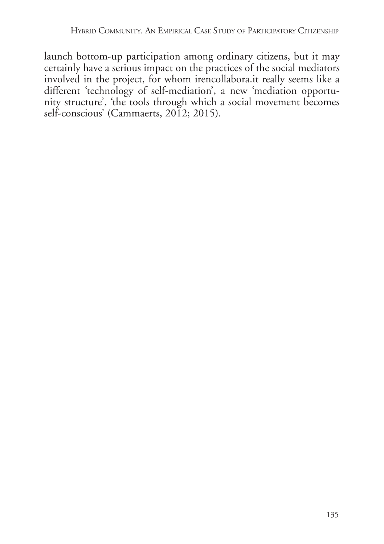launch bottom-up participation among ordinary citizens, but it may certainly have a serious impact on the practices of the social mediators involved in the project, for whom irencollabora.it really seems like a different 'technology of self-mediation', a new 'mediation opportunity structure', 'the tools through which a social movement becomes self-conscious' (Cammaerts, 2012; 2015).